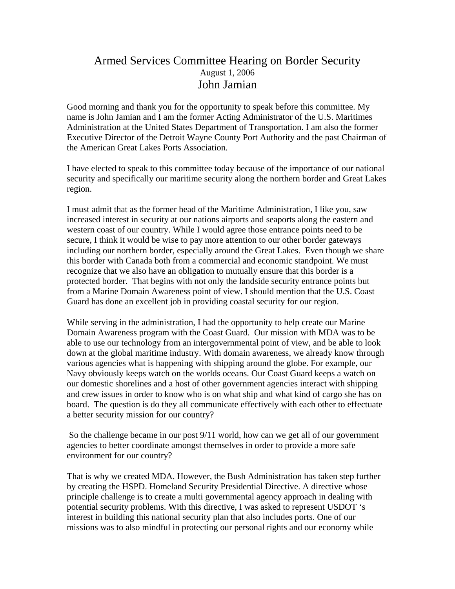## Armed Services Committee Hearing on Border Security August 1, 2006 John Jamian

Good morning and thank you for the opportunity to speak before this committee. My name is John Jamian and I am the former Acting Administrator of the U.S. Maritimes Administration at the United States Department of Transportation. I am also the former Executive Director of the Detroit Wayne County Port Authority and the past Chairman of the American Great Lakes Ports Association.

I have elected to speak to this committee today because of the importance of our national security and specifically our maritime security along the northern border and Great Lakes region.

I must admit that as the former head of the Maritime Administration, I like you, saw increased interest in security at our nations airports and seaports along the eastern and western coast of our country. While I would agree those entrance points need to be secure, I think it would be wise to pay more attention to our other border gateways including our northern border, especially around the Great Lakes. Even though we share this border with Canada both from a commercial and economic standpoint. We must recognize that we also have an obligation to mutually ensure that this border is a protected border. That begins with not only the landside security entrance points but from a Marine Domain Awareness point of view. I should mention that the U.S. Coast Guard has done an excellent job in providing coastal security for our region.

While serving in the administration, I had the opportunity to help create our Marine Domain Awareness program with the Coast Guard. Our mission with MDA was to be able to use our technology from an intergovernmental point of view, and be able to look down at the global maritime industry. With domain awareness, we already know through various agencies what is happening with shipping around the globe. For example, our Navy obviously keeps watch on the worlds oceans. Our Coast Guard keeps a watch on our domestic shorelines and a host of other government agencies interact with shipping and crew issues in order to know who is on what ship and what kind of cargo she has on board. The question is do they all communicate effectively with each other to effectuate a better security mission for our country?

 So the challenge became in our post 9/11 world, how can we get all of our government agencies to better coordinate amongst themselves in order to provide a more safe environment for our country?

That is why we created MDA. However, the Bush Administration has taken step further by creating the HSPD. Homeland Security Presidential Directive. A directive whose principle challenge is to create a multi governmental agency approach in dealing with potential security problems. With this directive, I was asked to represent USDOT 's interest in building this national security plan that also includes ports. One of our missions was to also mindful in protecting our personal rights and our economy while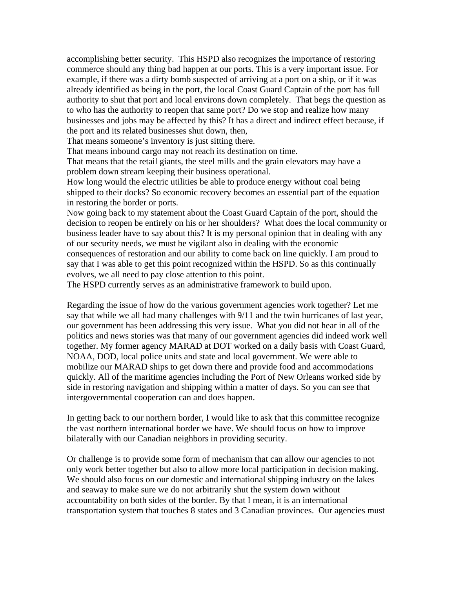accomplishing better security. This HSPD also recognizes the importance of restoring commerce should any thing bad happen at our ports. This is a very important issue. For example, if there was a dirty bomb suspected of arriving at a port on a ship, or if it was already identified as being in the port, the local Coast Guard Captain of the port has full authority to shut that port and local environs down completely. That begs the question as to who has the authority to reopen that same port? Do we stop and realize how many businesses and jobs may be affected by this? It has a direct and indirect effect because, if the port and its related businesses shut down, then,

That means someone's inventory is just sitting there.

That means inbound cargo may not reach its destination on time.

That means that the retail giants, the steel mills and the grain elevators may have a problem down stream keeping their business operational.

How long would the electric utilities be able to produce energy without coal being shipped to their docks? So economic recovery becomes an essential part of the equation in restoring the border or ports.

Now going back to my statement about the Coast Guard Captain of the port, should the decision to reopen be entirely on his or her shoulders? What does the local community or business leader have to say about this? It is my personal opinion that in dealing with any of our security needs, we must be vigilant also in dealing with the economic

consequences of restoration and our ability to come back on line quickly. I am proud to say that I was able to get this point recognized within the HSPD. So as this continually evolves, we all need to pay close attention to this point.

The HSPD currently serves as an administrative framework to build upon.

Regarding the issue of how do the various government agencies work together? Let me say that while we all had many challenges with 9/11 and the twin hurricanes of last year, our government has been addressing this very issue. What you did not hear in all of the politics and news stories was that many of our government agencies did indeed work well together. My former agency MARAD at DOT worked on a daily basis with Coast Guard, NOAA, DOD, local police units and state and local government. We were able to mobilize our MARAD ships to get down there and provide food and accommodations quickly. All of the maritime agencies including the Port of New Orleans worked side by side in restoring navigation and shipping within a matter of days. So you can see that intergovernmental cooperation can and does happen.

In getting back to our northern border, I would like to ask that this committee recognize the vast northern international border we have. We should focus on how to improve bilaterally with our Canadian neighbors in providing security.

Or challenge is to provide some form of mechanism that can allow our agencies to not only work better together but also to allow more local participation in decision making. We should also focus on our domestic and international shipping industry on the lakes and seaway to make sure we do not arbitrarily shut the system down without accountability on both sides of the border. By that I mean, it is an international transportation system that touches 8 states and 3 Canadian provinces. Our agencies must